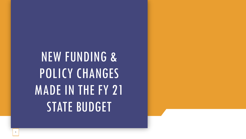# NEW FUNDING & POLICY CHANGES MADE IN THE FY 21 STATE BUDGET

1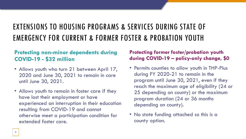## EXTENSIONS TO HOUSING PROGRAMS & SERVICES DURING STATE OF EMERGENCY FOR CURRENT & FORMER FOSTER & PROBATION YOUTH

### **Protecting non-minor dependents during COVID-19 - \$32 million**

- Allows youth who turn 21 between April 17, 2020 and June 30, 2021 to remain in care until June 30, 2021.
- Allows youth to remain in foster care if they have lost their employment or have experienced an interruption in their education resulting from COVID-19 and cannot otherwise meet a participation condition for extended foster care.

#### **Protecting former foster/probation youth during COVID-19 – policy-only change, \$0**

- Permits counties to allow youth in THP-Plus during FY 2020-21 to remain in the program until June 30, 2021, even if they reach the maximum age of eligibility (24 or 25 depending on county) or the maximum program duration (24 or 36 months depending on county).
- No state funding attached so this is a county option.